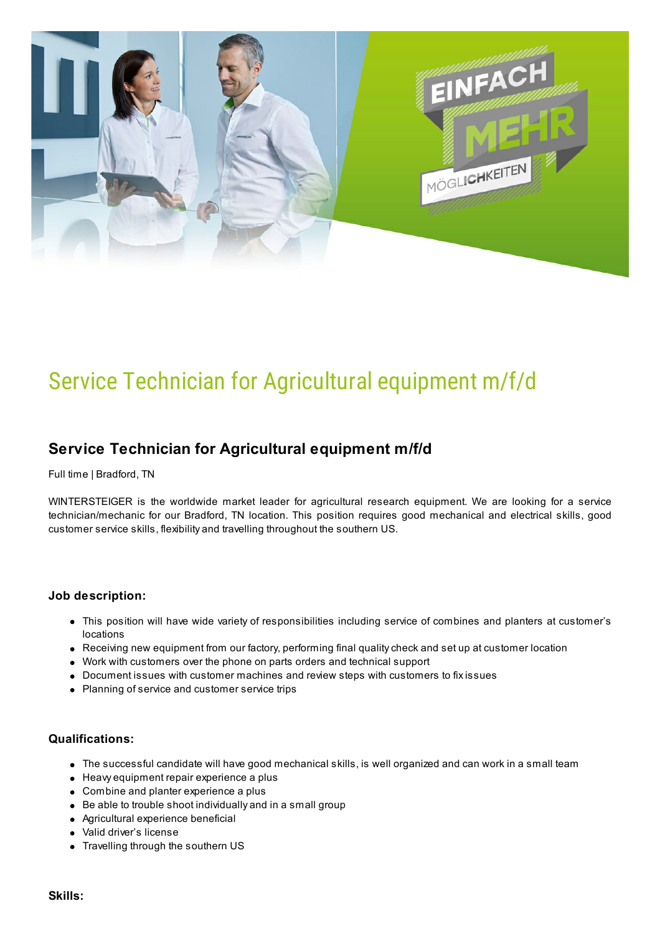

# Service Technician for Agricultural equipment m/f/d

## **Service Technician for Agricultural equipment m/f/d**

Full time | Bradford, TN

WINTERSTEIGER is the worldwide market leader for agricultural research equipment. We are looking for a service technician/mechanic for our Bradford, TN location. This position requires good mechanical and electrical skills, good customer service skills, flexibility and travelling throughout the southern US.

#### **Job description:**

- This position will have wide variety of responsibilities including service of combines and planters at customer's locations
- Receiving new equipment from our factory, performing final qualitycheck and set up at customer location
- Work with customers over the phone on parts orders and technical support
- Document issues with customer machines and review steps with customers to fixissues
- Planning of service and customer service trips

#### **Qualifications:**

- The successful candidate will have good mechanical skills, is well organized and can work in a small team
- Heavy equipment repair experience a plus
- Combine and planter experience a plus
- Be able to trouble shoot individually and in a small group
- Agricultural experience beneficial
- Valid driver's license
- Travelling through the southern US